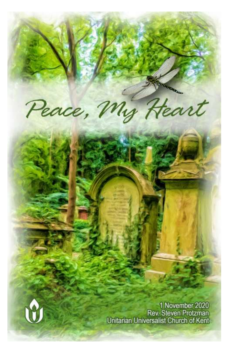Peace, My Heart



1 November 2020 Rev. Steven Protzman Unitarian Universalist Church of Kent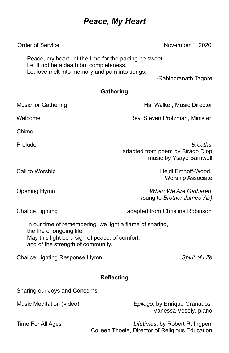# *Peace, My Heart*

| <b>Order of Service</b>                                                                                                                                                      | November 1, 2020                                                                  |  |
|------------------------------------------------------------------------------------------------------------------------------------------------------------------------------|-----------------------------------------------------------------------------------|--|
| Peace, my heart, let the time for the parting be sweet.<br>Let it not be a death but completeness.<br>Let love melt into memory and pain into songs.<br>-Rabindranath Tagore |                                                                                   |  |
| Gathering                                                                                                                                                                    |                                                                                   |  |
| <b>Music for Gathering</b>                                                                                                                                                   | Hal Walker, Music Director                                                        |  |
| Welcome                                                                                                                                                                      | Rev. Steven Protzman, Minister                                                    |  |
| Chime                                                                                                                                                                        |                                                                                   |  |
| Prelude                                                                                                                                                                      | <b>Breaths</b><br>adapted from poem by Birago Diop<br>music by Ysaye Barnwell     |  |
| Call to Worship                                                                                                                                                              | Heidi Emhoff-Wood,<br><b>Worship Associate</b>                                    |  |
| <b>Opening Hymn</b>                                                                                                                                                          | When We Are Gathered<br>(sung to Brother James' Air)                              |  |
| <b>Chalice Lighting</b>                                                                                                                                                      | adapted from Christine Robinson                                                   |  |
| In our time of remembering, we light a flame of sharing,<br>the fire of ongoing life.<br>May this light be a sign of peace, of comfort,<br>and of the strength of community. |                                                                                   |  |
| Chalice Lighting Response Hymn                                                                                                                                               | <b>Spirit of Life</b>                                                             |  |
| <b>Reflecting</b>                                                                                                                                                            |                                                                                   |  |
| Sharing our Joys and Concerns                                                                                                                                                |                                                                                   |  |
| Music Meditation (video)                                                                                                                                                     | Epilogo, by Enrique Granados<br>Vanessa Vesely, piano                             |  |
| Time For All Ages                                                                                                                                                            | Lifetimes, by Robert R. Ingpen<br>Colleen Thoele, Director of Religious Education |  |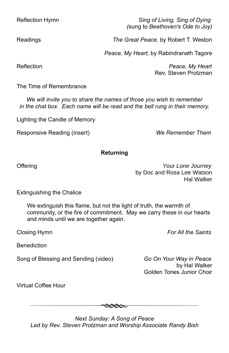Reflection Hymn *Sing of Living, Sing of Dying (*sung to *Beethoven's Ode to Joy)*

Readings *The Great Peace,* by Robert T. Weston

*Peace, My Heart,* by Rabindranath Tagore

Reflection *Peace, My Heart* Rev. Steven Protzman

The Time of Remembrance

*We will invite you to share the names of those you wish to remember in the chat box. Each name will be read and the bell rung in their memory.*

Lighting the Candle of Memory

Responsive Reading (insert) *We Remember Them*

### **Returning**

Offering *Your Lone Journey* by Doc and Rosa Lee Watson Hal Walker

Extinguishing the Chalice

We extinguish this flame, but not the light of truth, the warmth of community, or the fire of commitment. May we carry these in our hearts and minds until we are together again.

Closing Hymn *For All the Saints*

**Benediction** 

Song of Blessing and Sending (video) *Go On Your Way in Peace*

by Hal Walker Golden Tones Junior Choir

Virtual Coffee Hour

*Next Sunday: A Song of Peace Led by Rev. Steven Protzman and Worship Associate Randy Bish*

 $\bullet\!\bullet\!\bullet\!\!\bullet\!\!\!\bullet\!\!\!\bullet$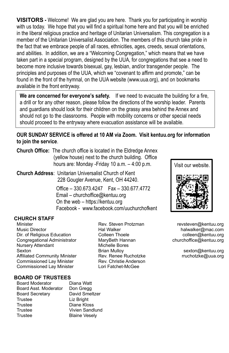**VISITORS -** Welcome! We are glad you are here. Thank you for participating in worship with us today. We hope that you will find a spiritual home here and that you will be enriched in the liberal religious practice and heritage of Unitarian Universalism. This congregation is a member of the Unitarian Universalist Association. The members of this church take pride in the fact that we embrace people of all races, ethnicities, ages, creeds, sexual orientations, and abilities. In addition, we are a "Welcoming Congregation," which means that we have taken part in a special program, designed by the UUA, for congregations that see a need to become more inclusive towards bisexual, gay, lesbian, and/or transgender people. The principles and purposes of the UUA, which we "covenant to affirm and promote," can be found in the front of the hymnal, on the UUA website (www.uua.org), and on bookmarks available in the front entryway.

**We are concerned for everyone's safety.** If we need to evacuate the building for a fire, a drill or for any other reason, please follow the directions of the worship leader. Parents and guardians should look for their children on the grassy area behind the Annex and should not go to the classrooms. People with mobility concerns or other special needs should proceed to the entryway where evacuation assistance will be available.

#### **OUR SUNDAY SERVICE is offered at 10 AM via Zoom. Visit kentuu.org for information to join the service**.

**Church Office:** The church office is located in the Eldredge Annex (yellow house) next to the church building. Office hours are: Monday -Friday 10 a.m. – 4:00 p.m.

**Church Address**: Unitarian Universalist Church of Kent 228 Gougler Avenue, Kent, OH 44240.

> Office – 330.673.4247 Fax – 330.677.4772 Email – churchoffice@kentuu.org On the web – https://kentuu.org Facebook - www.facebook.com/uuchurchofkent

#### **CHURCH STAFF**

í

Music Director Hal Walker halwalker@mac.com Dir. of Religious Education Congregational Administrator MaryBeth Hannan churchoffice@kentuu.org Nursery Attendant Michelle Bores Sexton **Brian Mulloy** Sexton **Brian Mulloy** Sexton **Brian Mulloy** Sexton **Brian Mulloy** Affiliated Community Minister Rev. Renee Ruchotzke rruchotzke@uua.org Commissioned Lay Minister Rev. Christie Anderson Commissioned Lay Minister Lori Fatchet-McGee

Minister **Rev. Steven Protzman** revsteven@kentuu.org **Reveral Reveral Reveral reveral reveral reveral** 



#### **BOARD OF TRUSTEES**

| <b>Board Moderator</b> | Diana Watt           |
|------------------------|----------------------|
| Board Asst. Moderator  | Don Gregg            |
| <b>Board Secretary</b> | David Smeltzer       |
| Trustee                | Liz Bright           |
| Trustee                | Diane Kloss          |
| Trustee                | Vivien Sandlund      |
| Trustee                | <b>Blaine Vesely</b> |
|                        |                      |